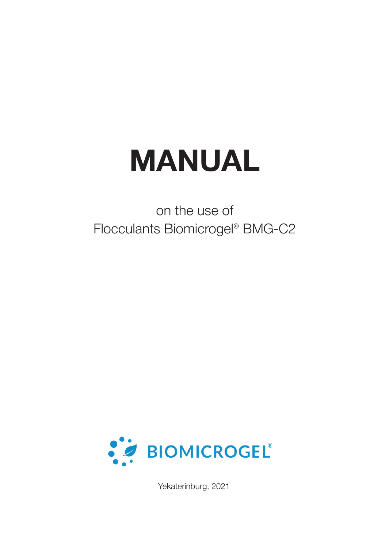# **MANUAL**

on the use of Flocculants Biomicrogel® BMG-С2



Yekaterinburg, 2021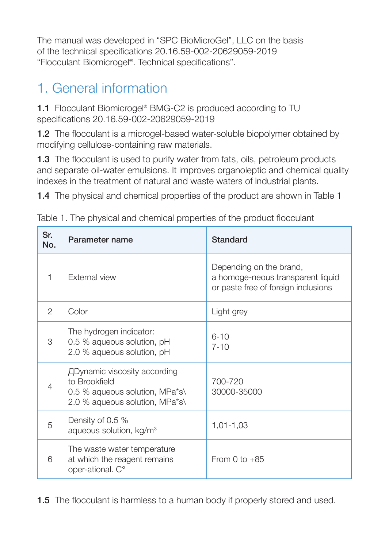The manual was developed in "SPC BioMicroGel", LLC on the basis of the technical specifications 20.16.59-002-20629059-2019 "Flocculant Biomicrogel®. Technical specifications".

# 1. General information

1.1 Flocculant Biomicrogel® BMG-C2 is produced according to TU specifications 20.16.59-002-20629059-2019

1.2 The flocculant is a microgel-based water-soluble biopolymer obtained by modifying cellulose-containing raw materials.

1.3 The flocculant is used to purify water from fats, oils, petroleum products and separate oil-water emulsions. It improves organoleptic and chemical quality indexes in the treatment of natural and waste waters of industrial plants.

1.4 The physical and chemical properties of the product are shown in Table 1

| Sr.<br>No.     | Parameter name                                                                                                    | Standard                                                                                            |
|----------------|-------------------------------------------------------------------------------------------------------------------|-----------------------------------------------------------------------------------------------------|
| 1              | <b>External view</b>                                                                                              | Depending on the brand,<br>a homoge-neous transparent liquid<br>or paste free of foreign inclusions |
| $\mathfrak{D}$ | Color                                                                                                             | Light grey                                                                                          |
| 3              | The hydrogen indicator:<br>0.5 % aqueous solution, pH<br>2.0 % aqueous solution, pH                               | $6 - 10$<br>$7 - 10$                                                                                |
| $\overline{4}$ | ДDynamic viscosity according<br>to Brookfield<br>0.5 % aqueous solution, MPa*s\<br>2.0 % aqueous solution, MPa*s\ | 700-720<br>30000-35000                                                                              |
| 5              | Density of 0.5 %<br>aqueous solution, kg/m <sup>3</sup>                                                           | $1,01 - 1,03$                                                                                       |
| 6              | The waste water temperature<br>at which the reagent remains<br>oper-ational. C°                                   | From 0 to $+85$                                                                                     |

Table 1. The physical and chemical properties of the product flocculant

1.5 The flocculant is harmless to a human body if properly stored and used.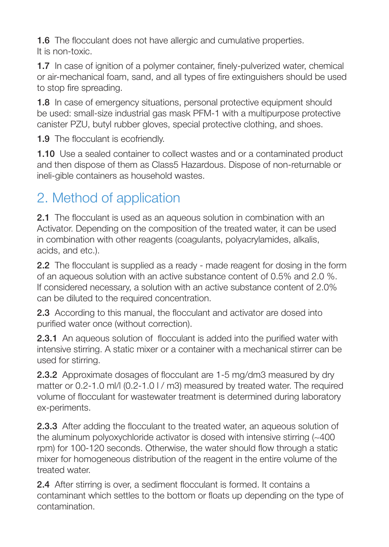**1.6** The flocculant does not have allergic and cumulative properties. It is non-toxic.

1.7 In case of ignition of a polymer container, finely-pulverized water, chemical or air-mechanical foam, sand, and all types of fire extinguishers should be used to stop fire spreading.

1.8 In case of emergency situations, personal protective equipment should be used: small-size industrial gas mask PFM-1 with a multipurpose protective canister PZU, butyl rubber gloves, special protective clothing, and shoes.

1.9 The flocculant is ecofriendly.

1.10 Use a sealed container to collect wastes and or a contaminated product and then dispose of them as Class5 Hazardous. Dispose of non-returnable or ineli-gible containers as household wastes.

# 2. Method of application

2.1 The flocculant is used as an aqueous solution in combination with an Activator. Depending on the composition of the treated water, it can be used in combination with other reagents (coagulants, polyacrylamides, alkalis, acids, and etc.).

2.2 The flocculant is supplied as a ready - made reagent for dosing in the form of an aqueous solution with an active substance content of 0.5% and 2.0 %. If considered necessary, a solution with an active substance content of 2.0% can be diluted to the required concentration.

2.3 According to this manual, the flocculant and activator are dosed into purified water once (without correction).

2.3.1 An aqueous solution of flocculant is added into the purified water with intensive stirring. A static mixer or a container with a mechanical stirrer can be used for stirring.

2.3.2 Approximate dosages of flocculant are 1-5 mg/dm3 measured by dry matter or 0.2-1.0 ml/l (0.2-1.0 l / m3) measured by treated water. The required volume of flocculant for wastewater treatment is determined during laboratory ex-periments.

2.3.3 After adding the flocculant to the treated water, an aqueous solution of the aluminum polyoxychloride activator is dosed with intensive stirring (~400 rpm) for 100-120 seconds. Otherwise, the water should flow through a static mixer for homogeneous distribution of the reagent in the entire volume of the treated water.

2.4 After stirring is over, a sediment flocculant is formed. It contains a contaminant which settles to the bottom or floats up depending on the type of contamination.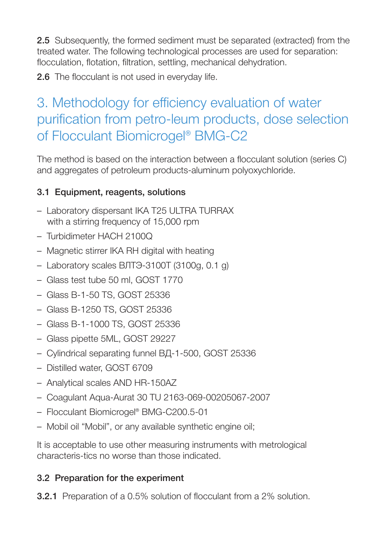2.5 Subsequently, the formed sediment must be separated (extracted) from the treated water. The following technological processes are used for separation: flocculation, flotation, filtration, settling, mechanical dehydration.

2.6 The flocculant is not used in everyday life.

# 3. Methodology for efficiency evaluation of water purification from petro-leum products, dose selection of Flocculant Biomicrogel® BMG-C2

The method is based on the interaction between a flocculant solution (series C) and aggregates of petroleum products-aluminum polyoxychloride.

#### 3.1 Equipment, reagents, solutions

- Laboratory dispersant IKA T25 ULTRA TURRAX with a stirring frequency of 15,000 rpm
- Turbidimeter HACH 2100Q
- Magnetic stirrer IKA RH digital with heating
- Laboratory scales ВЛТЭ-3100T (3100g, 0.1 g)
- Glass test tube 50 ml, GOST 1770
- Glass B-1-50 TS, GOST 25336
- Glass B-1250 TS, GOST 25336
- Glass B-1-1000 TS, GOST 25336
- Glass pipette 5ML, GOST 29227
- Cylindrical separating funnel ВД-1-500, GOST 25336
- Distilled water, GOST 6709
- Analytical scales AND HR-150AZ
- Coagulant Aqua-Aurat 30 TU 2163-069-00205067-2007
- Flocculant Biomicrogel® BMG-C200.5-01
- Mobil oil "Mobil", or any available synthetic engine oil;

It is acceptable to use other measuring instruments with metrological characteris-tics no worse than those indicated.

#### 3.2 Preparation for the experiment

3.2.1 Preparation of a 0.5% solution of flocculant from a 2% solution.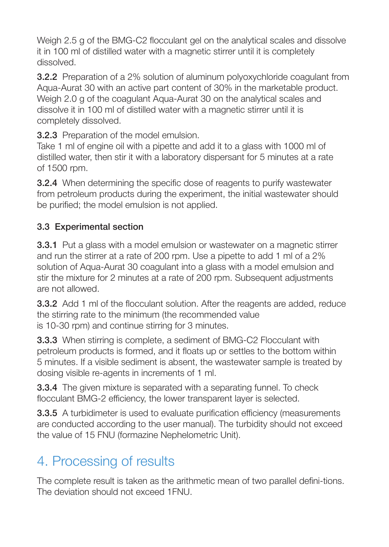Weigh 2.5 g of the BMG-C2 flocculant gel on the analytical scales and dissolve it in 100 ml of distilled water with a magnetic stirrer until it is completely dissolved.

3.2.2 Preparation of a 2% solution of aluminum polyoxychloride coagulant from Aqua-Aurat 30 with an active part content of 30% in the marketable product. Weigh 2.0 g of the coagulant Agua-Aurat 30 on the analytical scales and dissolve it in 100 ml of distilled water with a magnetic stirrer until it is completely dissolved.

3.2.3 Preparation of the model emulsion.

Take 1 ml of engine oil with a pipette and add it to a glass with 1000 ml of distilled water, then stir it with a laboratory dispersant for 5 minutes at a rate of 1500 rpm.

3.2.4 When determining the specific dose of reagents to purify wastewater from petroleum products during the experiment, the initial wastewater should be purified; the model emulsion is not applied.

#### 3.3 Experimental section

**3.3.1** Put a glass with a model emulsion or wastewater on a magnetic stirrer and run the stirrer at a rate of 200 rpm. Use a pipette to add 1 ml of a 2% solution of Aqua-Aurat 30 coagulant into a glass with a model emulsion and stir the mixture for 2 minutes at a rate of 200 rpm. Subsequent adjustments are not allowed.

3.3.2 Add 1 ml of the flocculant solution. After the reagents are added, reduce the stirring rate to the minimum (the recommended value is 10-30 rpm) and continue stirring for 3 minutes.

3.3.3 When stirring is complete, a sediment of BMG-C2 Flocculant with petroleum products is formed, and it floats up or settles to the bottom within 5 minutes. If a visible sediment is absent, the wastewater sample is treated by dosing visible re-agents in increments of 1 ml.

**3.3.4** The given mixture is separated with a separating funnel. To check flocculant BMG-2 efficiency, the lower transparent layer is selected.

3.3.5 A turbidimeter is used to evaluate purification efficiency (measurements are conducted according to the user manual). The turbidity should not exceed the value of 15 FNU (formazine Nephelometric Unit).

## 4. Processing of results

The complete result is taken as the arithmetic mean of two parallel defini-tions. The deviation should not exceed 1FNU.